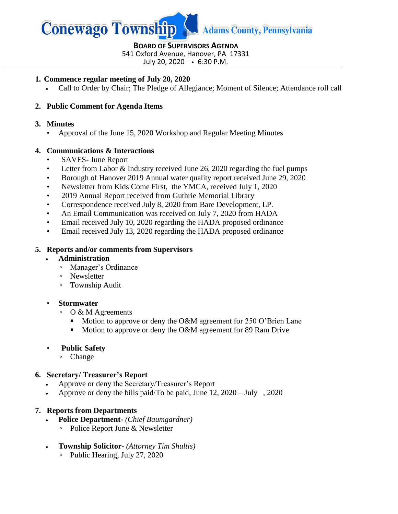

# **BOARD OF SUPERVISORS AGENDA**

541 Oxford Avenue, Hanover, PA 17331

July 20, 2020 6:30 P.M.

#### **1. Commence regular meeting of July 20, 2020**

Call to Order by Chair; The Pledge of Allegiance; Moment of Silence; Attendance roll call

# **2. Public Comment for Agenda Items**

#### **3. Minutes**

• Approval of the June 15, 2020 Workshop and Regular Meeting Minutes

## **4. Communications & Interactions**

- SAVES- June Report
- Letter from Labor & Industry received June 26, 2020 regarding the fuel pumps
- Borough of Hanover 2019 Annual water quality report received June 29, 2020
- Newsletter from Kids Come First, the YMCA, received July 1, 2020
- 2019 Annual Report received from Guthrie Memorial Library
- Correspondence received July 8, 2020 from Bare Development, LP.
- An Email Communication was received on July 7, 2020 from HADA
- Email received July 10, 2020 regarding the HADA proposed ordinance
- Email received July 13, 2020 regarding the HADA proposed ordinance

#### **5. Reports and/or comments from Supervisors**

- **Administration** 
	- Manager's Ordinance
	- Newsletter
	- Township Audit

#### • **Stormwater**

- O & M Agreements
	- Motion to approve or deny the O&M agreement for 250 O'Brien Lane
	- Motion to approve or deny the O&M agreement for 89 Ram Drive

## • **Public Safety**

◦ Change

## **6. Secretary/ Treasurer's Report**

- Approve or deny the Secretary/Treasurer's Report
- Approve or deny the bills paid/To be paid, June 12, 2020 July , 2020

## **7. Reports from Departments**

- **Police Department-** *(Chief Baumgardner)*
	- Police Report June & Newsletter
- **Township Solicitor-** *(Attorney Tim Shultis)*
	- Public Hearing, July 27, 2020